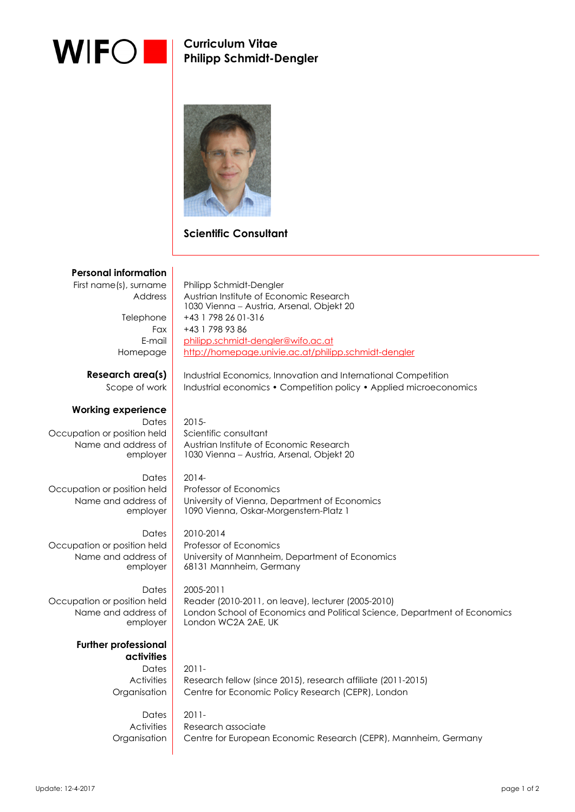

 $\overline{\phantom{a}}$ 

**Curriculum Vitae Philipp Schmidt-Dengler** 



### **Scientific Consultant**

#### **Personal information**

First name(s), surname | Philipp Schmidt-Dengler Address | Austrian Institute of Economic Research Telephone  $+43$  1 798 26 01-316

> Fax  $+43$  1 798 93 86 E-mail philipp.schmidt-dengler@wifo.ac.at

## **Working experience**

Occupation or position held  $\vert$  Scientific consultant Name and address of employer

Dates  $2014$ -Occupation or position held | Professor of Economics Name and address of employer

Occupation or position held Professor of Economics Name and address of employer

Name and address of employer

> **Further professional activities**

Homepage http://homepage.univie.ac.at/philipp.schmidt-dengler **Research area(s)** Industrial Economics, Innovation and International Competition Scope of work | Industrial economics • Competition policy • Applied microeconomics

Dates  $\vert$  2015-

 Austrian Institute of Economic Research 1030 Vienna - Austria, Arsenal, Objekt 20

1030 Vienna - Austria, Arsenal, Objekt 20

 University of Vienna, Department of Economics 1090 Vienna, Oskar-Morgenstern-Platz 1

Dates 2010-2014 University of Mannheim, Department of Economics 68131 Mannheim, Germany

Dates 2005-2011 Occupation or position held | Reader (2010-2011, on leave), lecturer (2005-2010) London School of Economics and Political Science, Department of Economics London WC2A 2AE, UK

> Dates  $2011$ -Activities Research fellow (since 2015), research affiliate (2011-2015) Organisation Centre for Economic Policy Research (CEPR), London

 $D \cdot \text{Area}$  2011-Activities Research associate Organisation Centre for European Economic Research (CEPR), Mannheim, Germany